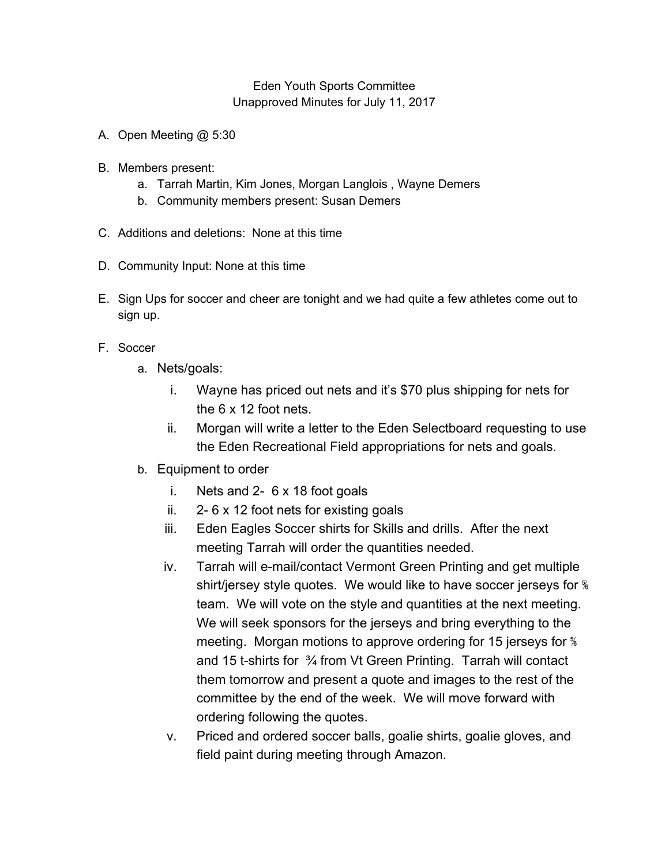## Eden Youth Sports Committee Unapproved Minutes for July 11, 2017

- A. Open Meeting @ 5:30
- B. Members present:
	- a. Tarrah Martin, Kim Jones, Morgan Langlois , Wayne Demers
	- b. Community members present: Susan Demers
- C. Additions and deletions: None at this time
- D. Community Input: None at this time
- E. Sign Ups for soccer and cheer are tonight and we had quite a few athletes come out to sign up.
- F. Soccer
	- a. Nets/goals:
		- i. Wayne has priced out nets and it's \$70 plus shipping for nets for the 6 x 12 foot nets.
		- ii. Morgan will write a letter to the Eden Selectboard requesting to use the Eden Recreational Field appropriations for nets and goals.
	- b. Equipment to order
		- i. Nets and 2- 6 x 18 foot goals
		- ii. 2- 6 x 12 foot nets for existing goals
		- iii. Eden Eagles Soccer shirts for Skills and drills. After the next meeting Tarrah will order the quantities needed.
		- iv. Tarrah will e-mail/contact Vermont Green Printing and get multiple shirt/jersey style quotes. We would like to have soccer jerseys for  $\frac{1}{6}$ team. We will vote on the style and quantities at the next meeting. We will seek sponsors for the jerseys and bring everything to the meeting. Morgan motions to approve ordering for 15 jerseys for <sup>§</sup> and 15 t-shirts for ¾ from Vt Green Printing. Tarrah will contact them tomorrow and present a quote and images to the rest of the committee by the end of the week. We will move forward with ordering following the quotes.
		- v. Priced and ordered soccer balls, goalie shirts, goalie gloves, and field paint during meeting through Amazon.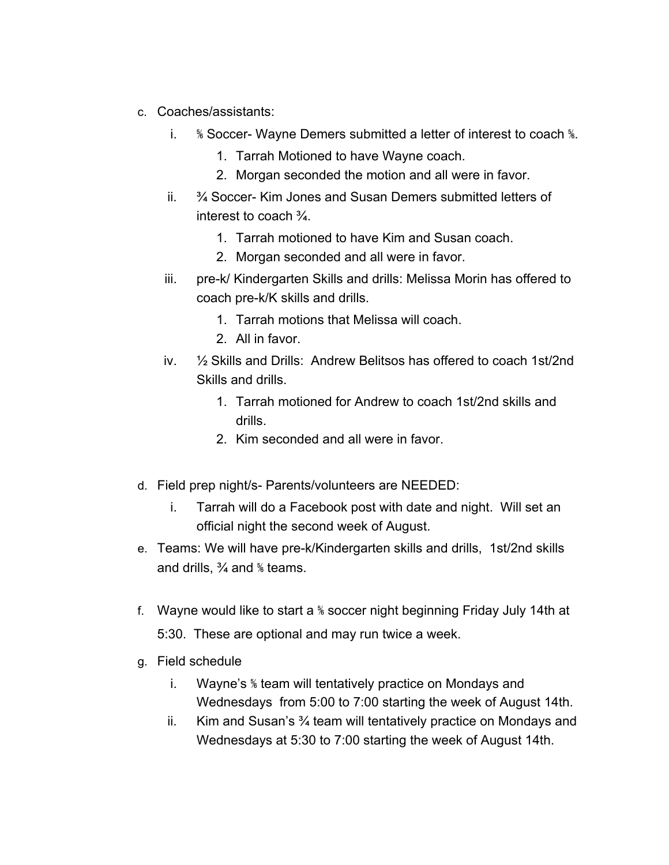- c. Coaches/assistants:
	- i. *W* Soccer- Wayne Demers submitted a letter of interest to coach *W*.
		- 1. Tarrah Motioned to have Wayne coach.
		- 2. Morgan seconded the motion and all were in favor.
	- ii. ¾ Soccer- Kim Jones and Susan Demers submitted letters of interest to coach ¾.
		- 1. Tarrah motioned to have Kim and Susan coach.
		- 2. Morgan seconded and all were in favor.
	- iii. pre-k/ Kindergarten Skills and drills: Melissa Morin has offered to coach pre-k/K skills and drills.
		- 1. Tarrah motions that Melissa will coach.
		- 2. All in favor.
	- iv. ½ Skills and Drills: Andrew Belitsos has offered to coach 1st/2nd Skills and drills.
		- 1. Tarrah motioned for Andrew to coach 1st/2nd skills and drills.
		- 2. Kim seconded and all were in favor.
- d. Field prep night/s- Parents/volunteers are NEEDED:
	- i. Tarrah will do a Facebook post with date and night. Will set an official night the second week of August.
- e. Teams: We will have pre-k/Kindergarten skills and drills, 1st/2nd skills and drills, ¾ and ⅚ teams.
- f. Wayne would like to start a ⅚ soccer night beginning Friday July 14th at 5:30. These are optional and may run twice a week.
- g. Field schedule
	- i. Wayne's ⅚ team will tentatively practice on Mondays and Wednesdays from 5:00 to 7:00 starting the week of August 14th.
	- ii. Kim and Susan's ¾ team will tentatively practice on Mondays and Wednesdays at 5:30 to 7:00 starting the week of August 14th.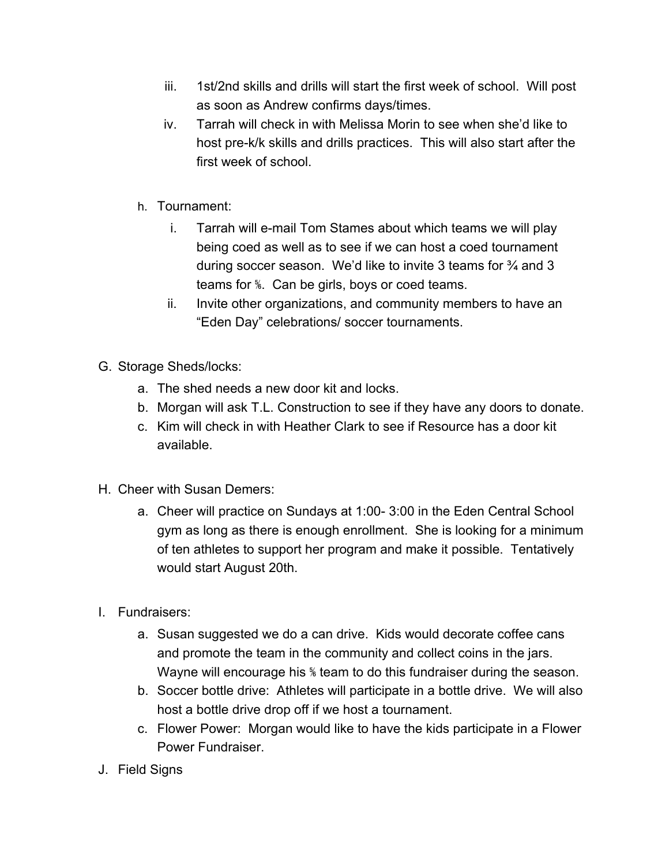- iii. 1st/2nd skills and drills will start the first week of school. Will post as soon as Andrew confirms days/times.
- iv. Tarrah will check in with Melissa Morin to see when she'd like to host pre-k/k skills and drills practices. This will also start after the first week of school.
- h. Tournament:
	- i. Tarrah will e-mail Tom Stames about which teams we will play being coed as well as to see if we can host a coed tournament during soccer season. We'd like to invite 3 teams for ¾ and 3 teams for ⅚. Can be girls, boys or coed teams.
	- ii. Invite other organizations, and community members to have an "Eden Day" celebrations/ soccer tournaments.
- G. Storage Sheds/locks:
	- a. The shed needs a new door kit and locks.
	- b. Morgan will ask T.L. Construction to see if they have any doors to donate.
	- c. Kim will check in with Heather Clark to see if Resource has a door kit available.
- H. Cheer with Susan Demers:
	- a. Cheer will practice on Sundays at 1:00- 3:00 in the Eden Central School gym as long as there is enough enrollment. She is looking for a minimum of ten athletes to support her program and make it possible. Tentatively would start August 20th.
- I. Fundraisers:
	- a. Susan suggested we do a can drive. Kids would decorate coffee cans and promote the team in the community and collect coins in the jars. Wayne will encourage his <sup>%</sup> team to do this fundraiser during the season.
	- b. Soccer bottle drive: Athletes will participate in a bottle drive. We will also host a bottle drive drop off if we host a tournament.
	- c. Flower Power: Morgan would like to have the kids participate in a Flower Power Fundraiser.
- J. Field Signs